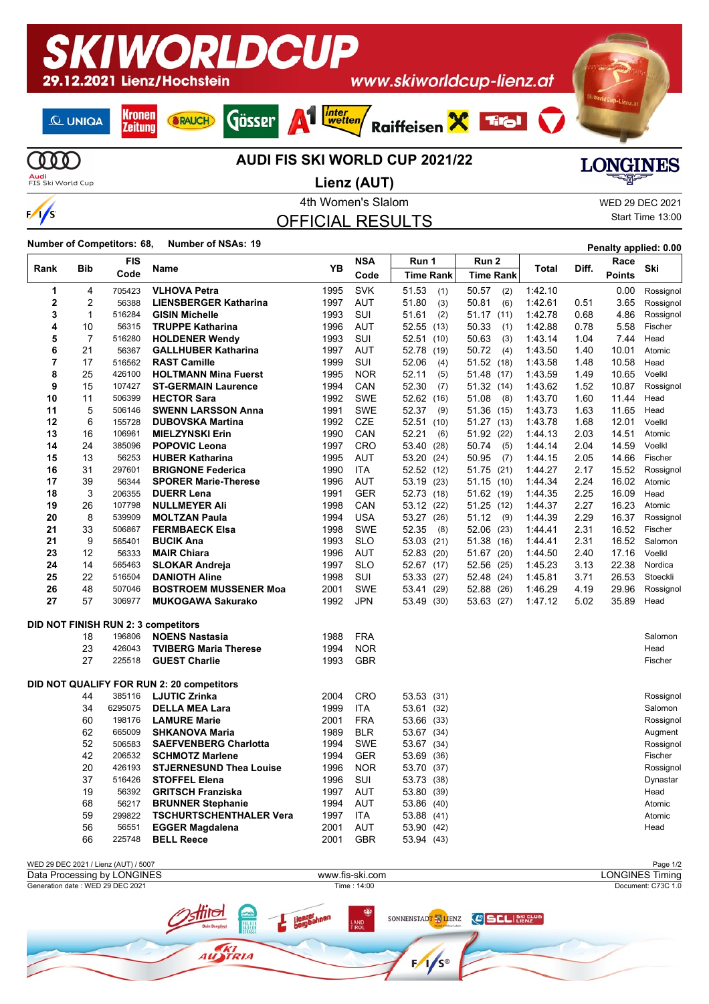## **IWORLDCUP** www.skiworldcup-lienz.at 29.12.2021 Lienz/Hochstein **Inter Raiffeisen X** Gösser **Kronen Q UNIQA** RAUCH Tiral Â **Zeitung AUDI FIS SKI WORLD CUP 2021/22**  $\omega$ **LONGINES Audi**<br>FIS Ski World Cup **Lienz (AUT)**

## $\frac{1}{s}$

## 4th Women's Slalom WED 29 DEC 2021 OFFICIAL RESULTS

Start Time 13:00

**Number of Competitors: 68, Number of NSAs: <sup>19</sup> Penalty applied: 0.00**

|                                           |                | <b>FIS</b> |                                            |      | <b>NSA</b> | Run 1<br>Run 2   |                  |              |       | Race          |           |
|-------------------------------------------|----------------|------------|--------------------------------------------|------|------------|------------------|------------------|--------------|-------|---------------|-----------|
| Rank                                      | Bib            | Code       | Name                                       | YB   | Code       | <b>Time Rank</b> | <b>Time Rank</b> | <b>Total</b> | Diff. | <b>Points</b> | Ski       |
| 1                                         | 4              | 705423     | <b>VLHOVA Petra</b>                        | 1995 | <b>SVK</b> | 51.53<br>(1)     | 50.57<br>(2)     | 1:42.10      |       | 0.00          | Rossignol |
| 2                                         | $\overline{2}$ | 56388      | <b>LIENSBERGER Katharina</b>               | 1997 | <b>AUT</b> | (3)<br>51.80     | 50.81<br>(6)     | 1:42.61      | 0.51  | 3.65          | Rossignol |
| 3                                         | $\mathbf 1$    | 516284     | <b>GISIN Michelle</b>                      | 1993 | SUI        | 51.61<br>(2)     | 51.17 (11)       | 1:42.78      | 0.68  | 4.86          | Rossignol |
| 4                                         | 10             | 56315      | <b>TRUPPE Katharina</b>                    | 1996 | <b>AUT</b> | 52.55<br>(13)    | 50.33<br>(1)     | 1:42.88      | 0.78  | 5.58          | Fischer   |
| 5                                         | $\overline{7}$ | 516280     | <b>HOLDENER Wendy</b>                      | 1993 | SUI        | 52.51<br>(10)    | 50.63<br>(3)     | 1:43.14      | 1.04  | 7.44          | Head      |
| 6                                         | 21             | 56367      | <b>GALLHUBER Katharina</b>                 | 1997 | <b>AUT</b> | 52.78<br>(19)    | 50.72<br>(4)     | 1:43.50      | 1.40  | 10.01         | Atomic    |
| 7                                         | 17             | 516562     | <b>RAST Camille</b>                        | 1999 | SUI        | 52.06<br>(4)     | 51.52 (18)       | 1:43.58      | 1.48  | 10.58         | Head      |
| 8                                         | 25             | 426100     | <b>HOLTMANN Mina Fuerst</b>                | 1995 | <b>NOR</b> | 52.11<br>(5)     | 51.48 (17)       | 1:43.59      | 1.49  | 10.65         | Voelkl    |
| 9                                         | 15             | 107427     | <b>ST-GERMAIN Laurence</b>                 | 1994 | CAN        | 52.30<br>(7)     | 51.32 (14)       | 1:43.62      | 1.52  | 10.87         | Rossignol |
| 10                                        | 11             | 506399     | <b>HECTOR Sara</b>                         | 1992 | <b>SWE</b> | 52.62<br>(16)    | 51.08<br>(8)     | 1:43.70      | 1.60  | 11.44         | Head      |
| 11                                        | 5              | 506146     | <b>SWENN LARSSON Anna</b>                  | 1991 | <b>SWE</b> | 52.37<br>(9)     | 51.36<br>(15)    | 1:43.73      | 1.63  | 11.65         | Head      |
| 12                                        | 6              | 155728     | <b>DUBOVSKA Martina</b>                    | 1992 | <b>CZE</b> | 52.51<br>(10)    | 51.27 (13)       | 1:43.78      | 1.68  | 12.01         | Voelkl    |
| 13                                        | 16             | 106961     | <b>MIELZYNSKI Erin</b>                     | 1990 | CAN        | 52.21<br>(6)     | 51.92 (22)       | 1:44.13      | 2.03  | 14.51         | Atomic    |
| 14                                        | 24             | 385096     | <b>POPOVIC Leona</b>                       | 1997 | <b>CRO</b> | 53.40<br>(28)    | 50.74<br>(5)     | 1:44.14      | 2.04  | 14.59         | Voelkl    |
| 15                                        | 13             | 56253      | <b>HUBER Katharina</b>                     | 1995 | <b>AUT</b> | 53.20<br>(24)    | 50.95<br>(7)     | 1:44.15      | 2.05  | 14.66         | Fischer   |
| 16                                        | 31             | 297601     | <b>BRIGNONE Federica</b>                   | 1990 | <b>ITA</b> | 52.52 (12)       | 51.75 (21)       | 1:44.27      | 2.17  | 15.52         | Rossignol |
| 17                                        | 39             | 56344      | <b>SPORER Marie-Therese</b>                | 1996 | <b>AUT</b> | 53.19<br>(23)    | 51.15<br>(10)    | 1:44.34      | 2.24  | 16.02         | Atomic    |
| 18                                        | 3              | 206355     | <b>DUERR Lena</b>                          | 1991 | <b>GER</b> | 52.73<br>(18)    | 51.62 (19)       | 1:44.35      | 2.25  | 16.09         | Head      |
| 19                                        | 26             | 107798     | <b>NULLMEYER Ali</b>                       | 1998 | CAN        | 53.12<br>(22)    | 51.25 (12)       | 1:44.37      | 2.27  | 16.23         | Atomic    |
| 20                                        | 8              | 539909     | <b>MOLTZAN Paula</b>                       | 1994 | <b>USA</b> | 53.27<br>(26)    | 51.12<br>(9)     | 1:44.39      | 2.29  | 16.37         | Rossignol |
| 21                                        | 33             | 506867     | <b>FERMBAECK Elsa</b>                      | 1998 | <b>SWE</b> | 52.35<br>(8)     | 52.06 (23)       | 1:44.41      | 2.31  | 16.52         | Fischer   |
| 21                                        | 9              | 565401     | <b>BUCIK Ana</b>                           | 1993 | <b>SLO</b> | 53.03<br>(21)    | 51.38 (16)       | 1 44 41      | 2.31  | 16.52         | Salomon   |
| 23                                        | 12             | 56333      | <b>MAIR Chiara</b>                         | 1996 | AUT        | 52.83<br>(20)    | 51.67 (20)       | 1:44.50      | 2.40  | 17.16         | Voelkl    |
| 24                                        | 14             | 565463     | <b>SLOKAR Andreja</b>                      | 1997 | <b>SLO</b> | 52.67 (17)       | 52.56 (25)       | 1:45.23      | 3.13  | 22.38         | Nordica   |
| 25                                        | 22             | 516504     | <b>DANIOTH Aline</b>                       | 1998 | SUI        | 53.33<br>(27)    | 52.48 (24)       | 1:45.81      | 3.71  | 26.53         | Stoeckli  |
| 26                                        | 48             | 507046     | <b>BOSTROEM MUSSENER Moa</b>               | 2001 | <b>SWE</b> | 53.41<br>(29)    | 52.88 (26)       | 1:46.29      | 4.19  | 29.96         | Rossignol |
| 27                                        | 57             | 306977     | <b>MUKOGAWA Sakurako</b>                   | 1992 | <b>JPN</b> | 53.49<br>(30)    | 53.63 (27)       | 1:47.12      | 5.02  | 35.89         | Head      |
|                                           |                |            | <b>DID NOT FINISH RUN 2: 3 competitors</b> |      |            |                  |                  |              |       |               |           |
|                                           | 18             | 196806     | <b>NOENS Nastasia</b>                      | 1988 | <b>FRA</b> |                  |                  |              |       |               | Salomon   |
|                                           | 23             | 426043     | <b>TVIBERG Maria Therese</b>               | 1994 | <b>NOR</b> |                  |                  |              |       |               | Head      |
|                                           | 27             | 225518     | <b>GUEST Charlie</b>                       | 1993 | <b>GBR</b> |                  |                  |              |       |               | Fischer   |
|                                           |                |            |                                            |      |            |                  |                  |              |       |               |           |
| DID NOT QUALIFY FOR RUN 2: 20 competitors |                |            |                                            |      |            |                  |                  |              |       |               |           |
|                                           | 44             | 385116     | <b>LJUTIC Zrinka</b>                       | 2004 | <b>CRO</b> | 53.53 (31)       |                  |              |       |               | Rossignol |
|                                           | 34             | 6295075    | <b>DELLA MEA Lara</b>                      | 1999 | <b>ITA</b> | 53.61 (32)       |                  |              |       |               | Salomon   |
|                                           | 60             | 198176     | <b>LAMURE Marie</b>                        | 2001 | <b>FRA</b> | 53.66 (33)       |                  |              |       |               | Rossignol |
|                                           | 62             | 665009     | <b>SHKANOVA Maria</b>                      | 1989 | <b>BLR</b> | 53.67 (34)       |                  |              |       |               | Augment   |
|                                           | 52             | 506583     | <b>SAEFVENBERG Charlotta</b>               | 1994 | <b>SWE</b> | 53.67<br>(34)    |                  |              |       |               | Rossignol |
|                                           | 42             | 206532     | <b>SCHMOTZ Marlene</b>                     | 1994 | <b>GER</b> | 53.69<br>(36)    |                  |              |       |               | Fischer   |
|                                           | 20             | 426193     | <b>STJERNESUND Thea Louise</b>             | 1996 | <b>NOR</b> | 53.70<br>(37)    |                  |              |       |               | Rossignol |
|                                           | 37             | 516426     | <b>STOFFEL Elena</b>                       | 1996 | SUI        | 53.73<br>(38)    |                  |              |       |               | Dynastar  |
|                                           | 19             | 56392      | <b>GRITSCH Franziska</b>                   | 1997 | AUT        | 53.80<br>(39)    |                  |              |       |               | Head      |
|                                           | 68             | 56217      | <b>BRUNNER Stephanie</b>                   | 1994 | <b>AUT</b> | 53.86<br>(40)    |                  |              |       |               | Atomic    |
|                                           | 59             | 299822     | <b>TSCHURTSCHENTHALER Vera</b>             | 1997 | <b>ITA</b> | 53.88<br>(41)    |                  |              |       |               | Atomic    |
|                                           | 56             | 56551      | <b>EGGER Magdalena</b>                     | 2001 | <b>AUT</b> | 53.90<br>(42)    |                  |              |       |               | Head      |
|                                           | 66             | 225748     | <b>BELL Reece</b>                          | 2001 | <b>GBR</b> | 53.94 (43)       |                  |              |       |               |           |

| WED 29 DEC 2021 / Lienz (AUT) / 5007 |                                                                                                                                                                                            | Page 1/2               |
|--------------------------------------|--------------------------------------------------------------------------------------------------------------------------------------------------------------------------------------------|------------------------|
| Data Processing by LONGINES          | www.fis-ski.com                                                                                                                                                                            | <b>LONGINES Timing</b> |
| Generation date: WED 29 DEC 2021     | Time: 14:00                                                                                                                                                                                | Document: C73C 1.0     |
|                                      | ₩<br><b>ELL</b> IBELLID<br>SONNENSTAD <mark>T NEVER LIENZ</mark><br>Lienzel <sub>hergbahnen</sub><br>LAND<br>TIROL<br><b>FELBER</b><br><b>Dein Bergtirol</b><br>AUSTRIA<br>$F/1/S^{\circ}$ |                        |